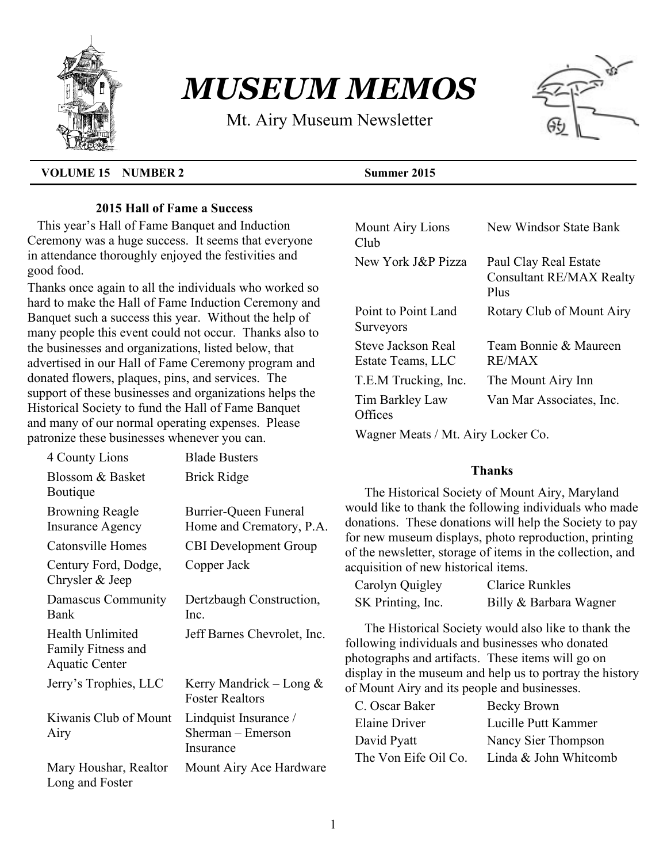

# *MUSEUM MEMOS*

Mt. Airy Museum Newsletter



#### **VOLUME 15 NUMBER 2 Summer 2015**

## **2015 Hall of Fame a Success**

 This year's Hall of Fame Banquet and Induction Ceremony was a huge success. It seems that everyone in attendance thoroughly enjoyed the festivities and good food.

Thanks once again to all the individuals who worked so hard to make the Hall of Fame Induction Ceremony and Banquet such a success this year. Without the help of many people this event could not occur. Thanks also to the businesses and organizations, listed below, that advertised in our Hall of Fame Ceremony program and donated flowers, plaques, pins, and services. The support of these businesses and organizations helps the Historical Society to fund the Hall of Fame Banquet and many of our normal operating expenses. Please patronize these businesses whenever you can.

| 4 County Lions                                           | <b>Blade Busters</b>                                    |
|----------------------------------------------------------|---------------------------------------------------------|
| Blossom & Basket<br>Boutique                             | <b>Brick Ridge</b>                                      |
| <b>Browning Reagle</b><br><b>Insurance Agency</b>        | Burrier-Queen Funeral<br>Home and Crematory, P.A.       |
| Catonsville Homes                                        | <b>CBI</b> Development Group                            |
| Century Ford, Dodge,<br>Chrysler & Jeep                  | Copper Jack                                             |
| Damascus Community<br>Bank                               | Dertzbaugh Construction,<br>Inc.                        |
| Health Unlimited<br>Family Fitness and<br>Aquatic Center | Jeff Barnes Chevrolet, Inc.                             |
| Jerry's Trophies, LLC                                    | Kerry Mandrick – Long $\&$<br><b>Foster Realtors</b>    |
| Kiwanis Club of Mount<br>Airy                            | Lindquist Insurance /<br>Sherman – Emerson<br>Insurance |
| Mary Houshar, Realtor<br>Long and Foster                 | Mount Airy Ace Hardware                                 |

| Mount Airy Lions<br>Club                | New Windsor State Bank                                           |  |  |  |  |
|-----------------------------------------|------------------------------------------------------------------|--|--|--|--|
| New York J&P Pizza                      | Paul Clay Real Estate<br><b>Consultant RE/MAX Realty</b><br>Plus |  |  |  |  |
| Point to Point Land<br>Surveyors        | Rotary Club of Mount Airy                                        |  |  |  |  |
| Steve Jackson Real<br>Estate Teams, LLC | Team Bonnie & Maureen<br>RE/MAX                                  |  |  |  |  |
| T.E.M Trucking, Inc.                    | The Mount Airy Inn                                               |  |  |  |  |
| Tim Barkley Law<br>Offices              | Van Mar Associates, Inc.                                         |  |  |  |  |
| Wagner Meats / Mt. Airy Locker Co.      |                                                                  |  |  |  |  |

#### **Thanks**

The Historical Society of Mount Airy, Maryland would like to thank the following individuals who made donations. These donations will help the Society to pay for new museum displays, photo reproduction, printing of the newsletter, storage of items in the collection, and acquisition of new historical items.

| Carolyn Quigley   | <b>Clarice Runkles</b> |
|-------------------|------------------------|
| SK Printing, Inc. | Billy & Barbara Wagner |

The Historical Society would also like to thank the following individuals and businesses who donated photographs and artifacts. These items will go on display in the museum and help us to portray the history of Mount Airy and its people and businesses.

| C. Oscar Baker       | Becky Brown           |
|----------------------|-----------------------|
| Elaine Driver        | Lucille Putt Kammer   |
| David Pyatt          | Nancy Sier Thompson   |
| The Von Eife Oil Co. | Linda & John Whitcomb |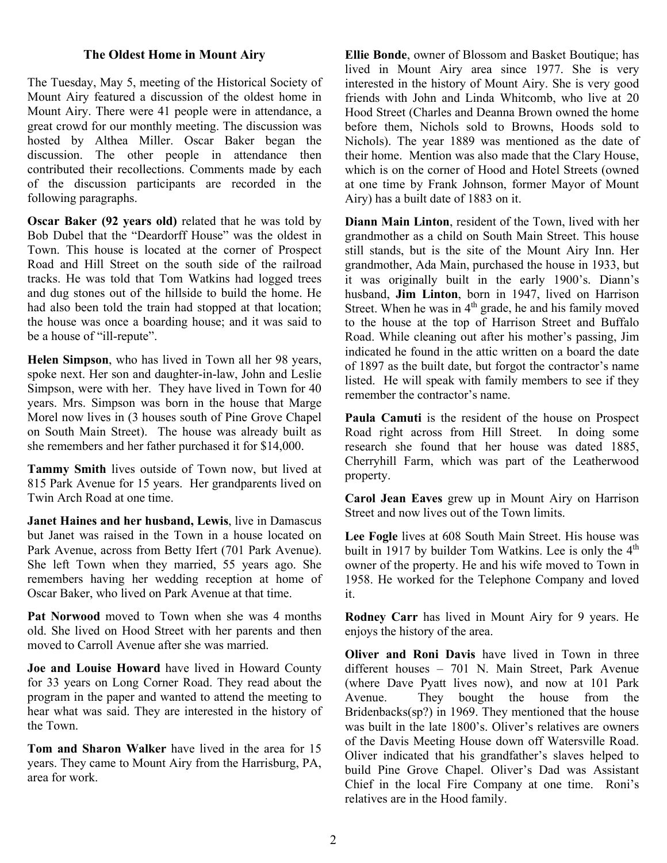#### **The Oldest Home in Mount Airy**

The Tuesday, May 5, meeting of the Historical Society of Mount Airy featured a discussion of the oldest home in Mount Airy. There were 41 people were in attendance, a great crowd for our monthly meeting. The discussion was hosted by Althea Miller. Oscar Baker began the discussion. The other people in attendance then contributed their recollections. Comments made by each of the discussion participants are recorded in the following paragraphs.

**Oscar Baker (92 years old)** related that he was told by Bob Dubel that the "Deardorff House" was the oldest in Town. This house is located at the corner of Prospect Road and Hill Street on the south side of the railroad tracks. He was told that Tom Watkins had logged trees and dug stones out of the hillside to build the home. He had also been told the train had stopped at that location; the house was once a boarding house; and it was said to be a house of "ill-repute".

**Helen Simpson**, who has lived in Town all her 98 years, spoke next. Her son and daughter-in-law, John and Leslie Simpson, were with her. They have lived in Town for 40 years. Mrs. Simpson was born in the house that Marge Morel now lives in (3 houses south of Pine Grove Chapel on South Main Street). The house was already built as she remembers and her father purchased it for \$14,000.

**Tammy Smith** lives outside of Town now, but lived at 815 Park Avenue for 15 years. Her grandparents lived on Twin Arch Road at one time.

**Janet Haines and her husband, Lewis**, live in Damascus but Janet was raised in the Town in a house located on Park Avenue, across from Betty Ifert (701 Park Avenue). She left Town when they married, 55 years ago. She remembers having her wedding reception at home of Oscar Baker, who lived on Park Avenue at that time.

Pat Norwood moved to Town when she was 4 months old. She lived on Hood Street with her parents and then moved to Carroll Avenue after she was married.

**Joe and Louise Howard** have lived in Howard County for 33 years on Long Corner Road. They read about the program in the paper and wanted to attend the meeting to hear what was said. They are interested in the history of the Town.

**Tom and Sharon Walker** have lived in the area for 15 years. They came to Mount Airy from the Harrisburg, PA, area for work.

**Ellie Bonde**, owner of Blossom and Basket Boutique; has lived in Mount Airy area since 1977. She is very interested in the history of Mount Airy. She is very good friends with John and Linda Whitcomb, who live at 20 Hood Street (Charles and Deanna Brown owned the home before them, Nichols sold to Browns, Hoods sold to Nichols). The year 1889 was mentioned as the date of their home. Mention was also made that the Clary House, which is on the corner of Hood and Hotel Streets (owned at one time by Frank Johnson, former Mayor of Mount Airy) has a built date of 1883 on it.

**Diann Main Linton**, resident of the Town, lived with her grandmother as a child on South Main Street. This house still stands, but is the site of the Mount Airy Inn. Her grandmother, Ada Main, purchased the house in 1933, but it was originally built in the early 1900's. Diann's husband, **Jim Linton**, born in 1947, lived on Harrison Street. When he was in  $4<sup>th</sup>$  grade, he and his family moved to the house at the top of Harrison Street and Buffalo Road. While cleaning out after his mother's passing, Jim indicated he found in the attic written on a board the date of 1897 as the built date, but forgot the contractor's name listed. He will speak with family members to see if they remember the contractor's name.

**Paula Camuti** is the resident of the house on Prospect Road right across from Hill Street. In doing some research she found that her house was dated 1885, Cherryhill Farm, which was part of the Leatherwood property.

**Carol Jean Eaves** grew up in Mount Airy on Harrison Street and now lives out of the Town limits.

**Lee Fogle** lives at 608 South Main Street. His house was built in 1917 by builder Tom Watkins. Lee is only the  $4<sup>th</sup>$ owner of the property. He and his wife moved to Town in 1958. He worked for the Telephone Company and loved it.

**Rodney Carr** has lived in Mount Airy for 9 years. He enjoys the history of the area.

**Oliver and Roni Davis** have lived in Town in three different houses – 701 N. Main Street, Park Avenue (where Dave Pyatt lives now), and now at 101 Park Avenue. They bought the house from the Bridenbacks(sp?) in 1969. They mentioned that the house was built in the late 1800's. Oliver's relatives are owners of the Davis Meeting House down off Watersville Road. Oliver indicated that his grandfather's slaves helped to build Pine Grove Chapel. Oliver's Dad was Assistant Chief in the local Fire Company at one time. Roni's relatives are in the Hood family.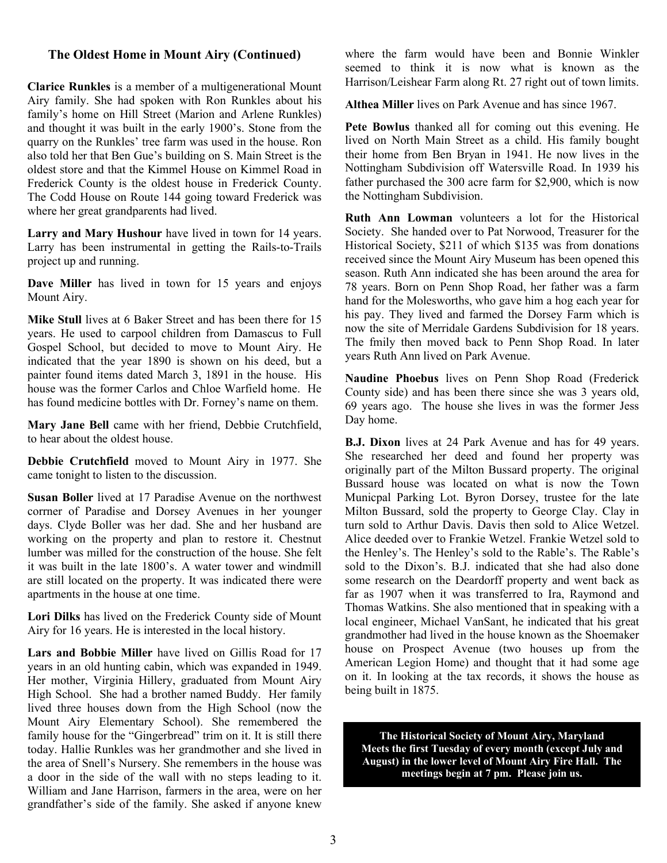#### **The Oldest Home in Mount Airy (Continued)**

**Clarice Runkles** is a member of a multigenerational Mount Airy family. She had spoken with Ron Runkles about his family's home on Hill Street (Marion and Arlene Runkles) and thought it was built in the early 1900's. Stone from the quarry on the Runkles' tree farm was used in the house. Ron also told her that Ben Gue's building on S. Main Street is the oldest store and that the Kimmel House on Kimmel Road in Frederick County is the oldest house in Frederick County. The Codd House on Route 144 going toward Frederick was where her great grandparents had lived.

**Larry and Mary Hushour** have lived in town for 14 years. Larry has been instrumental in getting the Rails-to-Trails project up and running.

**Dave Miller** has lived in town for 15 years and enjoys Mount Airy.

**Mike Stull** lives at 6 Baker Street and has been there for 15 years. He used to carpool children from Damascus to Full Gospel School, but decided to move to Mount Airy. He indicated that the year 1890 is shown on his deed, but a painter found items dated March 3, 1891 in the house. His house was the former Carlos and Chloe Warfield home. He has found medicine bottles with Dr. Forney's name on them.

**Mary Jane Bell** came with her friend, Debbie Crutchfield, to hear about the oldest house.

**Debbie Crutchfield** moved to Mount Airy in 1977. She came tonight to listen to the discussion.

**Susan Boller** lived at 17 Paradise Avenue on the northwest corrner of Paradise and Dorsey Avenues in her younger days. Clyde Boller was her dad. She and her husband are working on the property and plan to restore it. Chestnut lumber was milled for the construction of the house. She felt it was built in the late 1800's. A water tower and windmill are still located on the property. It was indicated there were apartments in the house at one time.

**Lori Dilks** has lived on the Frederick County side of Mount Airy for 16 years. He is interested in the local history.

**Lars and Bobbie Miller** have lived on Gillis Road for 17 years in an old hunting cabin, which was expanded in 1949. Her mother, Virginia Hillery, graduated from Mount Airy High School. She had a brother named Buddy. Her family lived three houses down from the High School (now the Mount Airy Elementary School). She remembered the family house for the "Gingerbread" trim on it. It is still there today. Hallie Runkles was her grandmother and she lived in the area of Snell's Nursery. She remembers in the house was a door in the side of the wall with no steps leading to it. William and Jane Harrison, farmers in the area, were on her grandfather's side of the family. She asked if anyone knew where the farm would have been and Bonnie Winkler seemed to think it is now what is known as the Harrison/Leishear Farm along Rt. 27 right out of town limits.

**Althea Miller** lives on Park Avenue and has since 1967.

**Pete Bowlus** thanked all for coming out this evening. He lived on North Main Street as a child. His family bought their home from Ben Bryan in 1941. He now lives in the Nottingham Subdivision off Watersville Road. In 1939 his father purchased the 300 acre farm for \$2,900, which is now the Nottingham Subdivision.

**Ruth Ann Lowman** volunteers a lot for the Historical Society. She handed over to Pat Norwood, Treasurer for the Historical Society, \$211 of which \$135 was from donations received since the Mount Airy Museum has been opened this season. Ruth Ann indicated she has been around the area for 78 years. Born on Penn Shop Road, her father was a farm hand for the Molesworths, who gave him a hog each year for his pay. They lived and farmed the Dorsey Farm which is now the site of Merridale Gardens Subdivision for 18 years. The fmily then moved back to Penn Shop Road. In later years Ruth Ann lived on Park Avenue.

**Naudine Phoebus** lives on Penn Shop Road (Frederick County side) and has been there since she was 3 years old, 69 years ago. The house she lives in was the former Jess Day home.

**B.J. Dixon** lives at 24 Park Avenue and has for 49 years. She researched her deed and found her property was originally part of the Milton Bussard property. The original Bussard house was located on what is now the Town Municpal Parking Lot. Byron Dorsey, trustee for the late Milton Bussard, sold the property to George Clay. Clay in turn sold to Arthur Davis. Davis then sold to Alice Wetzel. Alice deeded over to Frankie Wetzel. Frankie Wetzel sold to the Henley's. The Henley's sold to the Rable's. The Rable's sold to the Dixon's. B.J. indicated that she had also done some research on the Deardorff property and went back as far as 1907 when it was transferred to Ira, Raymond and Thomas Watkins. She also mentioned that in speaking with a local engineer, Michael VanSant, he indicated that his great grandmother had lived in the house known as the Shoemaker house on Prospect Avenue (two houses up from the American Legion Home) and thought that it had some age on it. In looking at the tax records, it shows the house as being built in 1875.

**The Historical Society of Mount Airy, Maryland Meets the first Tuesday of every month (except July and August) in the lower level of Mount Airy Fire Hall. The meetings begin at 7 pm. Please join us.**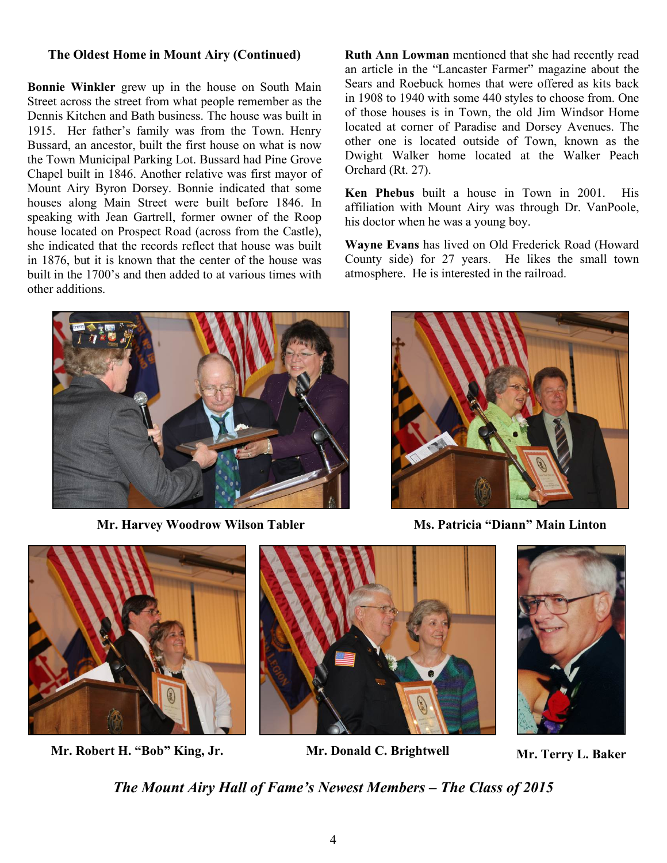#### **The Oldest Home in Mount Airy (Continued)**

**Bonnie Winkler** grew up in the house on South Main Street across the street from what people remember as the Dennis Kitchen and Bath business. The house was built in 1915. Her father's family was from the Town. Henry Bussard, an ancestor, built the first house on what is now the Town Municipal Parking Lot. Bussard had Pine Grove Chapel built in 1846. Another relative was first mayor of Mount Airy Byron Dorsey. Bonnie indicated that some houses along Main Street were built before 1846. In speaking with Jean Gartrell, former owner of the Roop house located on Prospect Road (across from the Castle), she indicated that the records reflect that house was built in 1876, but it is known that the center of the house was built in the 1700's and then added to at various times with other additions.

**Ruth Ann Lowman** mentioned that she had recently read an article in the "Lancaster Farmer" magazine about the Sears and Roebuck homes that were offered as kits back in 1908 to 1940 with some 440 styles to choose from. One of those houses is in Town, the old Jim Windsor Home located at corner of Paradise and Dorsey Avenues. The other one is located outside of Town, known as the Dwight Walker home located at the Walker Peach Orchard (Rt. 27).

**Ken Phebus** built a house in Town in 2001. His affiliation with Mount Airy was through Dr. VanPoole, his doctor when he was a young boy.

**Wayne Evans** has lived on Old Frederick Road (Howard County side) for 27 years. He likes the small town atmosphere. He is interested in the railroad.



**Mr. Harvey Woodrow Wilson Tabler Ms. Patricia "Diann" Main Linton**





**Mr. Robert H. "Bob" King, Jr. Mr. Donald C. Brightwell Mr. Terry L. Baker**





*The Mount Airy Hall of Fame's Newest Members – The Class of 2015*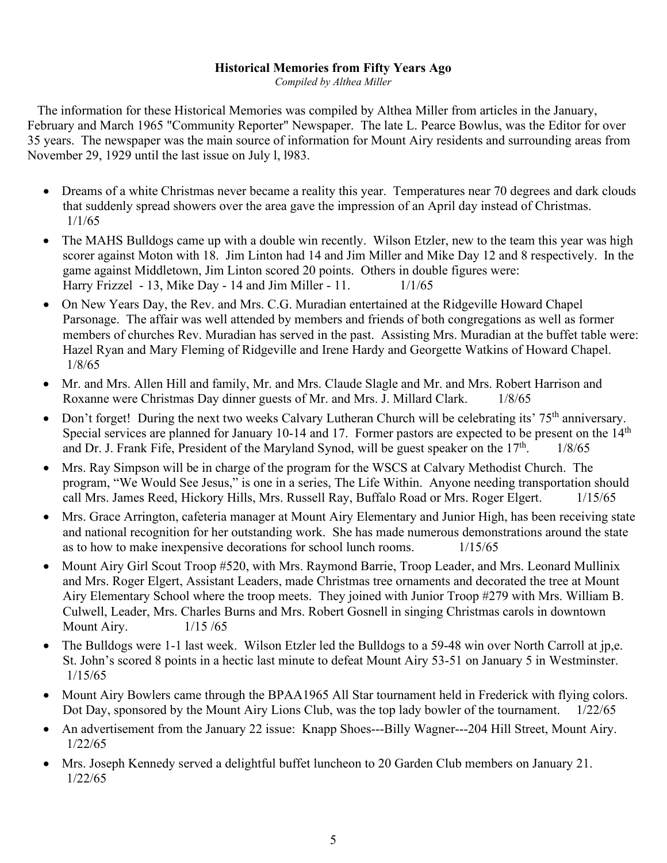#### **Historical Memories from Fifty Years Ago**

*Compiled by Althea Miller*

 The information for these Historical Memories was compiled by Althea Miller from articles in the January, February and March 1965 "Community Reporter" Newspaper. The late L. Pearce Bowlus, was the Editor for over 35 years. The newspaper was the main source of information for Mount Airy residents and surrounding areas from November 29, 1929 until the last issue on July l, l983.

- Dreams of a white Christmas never became a reality this year. Temperatures near 70 degrees and dark clouds that suddenly spread showers over the area gave the impression of an April day instead of Christmas. 1/1/65
- The MAHS Bulldogs came up with a double win recently. Wilson Etzler, new to the team this year was high scorer against Moton with 18. Jim Linton had 14 and Jim Miller and Mike Day 12 and 8 respectively. In the game against Middletown, Jim Linton scored 20 points. Others in double figures were: Harry Frizzel - 13, Mike Day - 14 and Jim Miller - 11. 1/1/65
- On New Years Day, the Rev. and Mrs. C.G. Muradian entertained at the Ridgeville Howard Chapel Parsonage. The affair was well attended by members and friends of both congregations as well as former members of churches Rev. Muradian has served in the past. Assisting Mrs. Muradian at the buffet table were: Hazel Ryan and Mary Fleming of Ridgeville and Irene Hardy and Georgette Watkins of Howard Chapel. 1/8/65
- Mr. and Mrs. Allen Hill and family, Mr. and Mrs. Claude Slagle and Mr. and Mrs. Robert Harrison and Roxanne were Christmas Day dinner guests of Mr. and Mrs. J. Millard Clark. 1/8/65
- Don't forget! During the next two weeks Calvary Lutheran Church will be celebrating its' 75<sup>th</sup> anniversary. Special services are planned for January 10-14 and 17. Former pastors are expected to be present on the 14<sup>th</sup> and Dr. J. Frank Fife, President of the Maryland Synod, will be guest speaker on the  $17<sup>th</sup>$ . 1/8/65
- Mrs. Ray Simpson will be in charge of the program for the WSCS at Calvary Methodist Church. The program, "We Would See Jesus," is one in a series, The Life Within. Anyone needing transportation should call Mrs. James Reed, Hickory Hills, Mrs. Russell Ray, Buffalo Road or Mrs. Roger Elgert. 1/15/65
- Mrs. Grace Arrington, cafeteria manager at Mount Airy Elementary and Junior High, has been receiving state and national recognition for her outstanding work. She has made numerous demonstrations around the state as to how to make inexpensive decorations for school lunch rooms. 1/15/65
- Mount Airy Girl Scout Troop #520, with Mrs. Raymond Barrie, Troop Leader, and Mrs. Leonard Mullinix and Mrs. Roger Elgert, Assistant Leaders, made Christmas tree ornaments and decorated the tree at Mount Airy Elementary School where the troop meets. They joined with Junior Troop #279 with Mrs. William B. Culwell, Leader, Mrs. Charles Burns and Mrs. Robert Gosnell in singing Christmas carols in downtown Mount Airy. 1/15 /65
- The Bulldogs were 1-1 last week. Wilson Etzler led the Bulldogs to a 59-48 win over North Carroll at jp,e. St. John's scored 8 points in a hectic last minute to defeat Mount Airy 53-51 on January 5 in Westminster. 1/15/65
- Mount Airy Bowlers came through the BPAA1965 All Star tournament held in Frederick with flying colors. Dot Day, sponsored by the Mount Airy Lions Club, was the top lady bowler of the tournament. 1/22/65
- An advertisement from the January 22 issue: Knapp Shoes---Billy Wagner---204 Hill Street, Mount Airy. 1/22/65
- Mrs. Joseph Kennedy served a delightful buffet luncheon to 20 Garden Club members on January 21. 1/22/65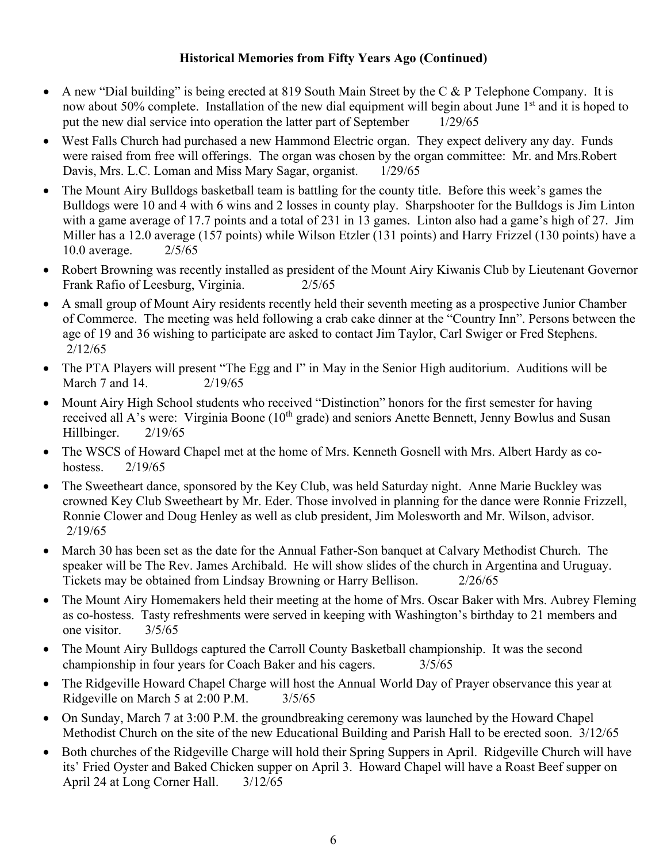### **Historical Memories from Fifty Years Ago (Continued)**

- A new "Dial building" is being erected at 819 South Main Street by the C & P Telephone Company. It is now about 50% complete. Installation of the new dial equipment will begin about June 1<sup>st</sup> and it is hoped to put the new dial service into operation the latter part of September 1/29/65
- West Falls Church had purchased a new Hammond Electric organ. They expect delivery any day. Funds were raised from free will offerings. The organ was chosen by the organ committee: Mr. and Mrs.Robert Davis, Mrs. L.C. Loman and Miss Mary Sagar, organist. 1/29/65
- The Mount Airy Bulldogs basketball team is battling for the county title. Before this week's games the Bulldogs were 10 and 4 with 6 wins and 2 losses in county play. Sharpshooter for the Bulldogs is Jim Linton with a game average of 17.7 points and a total of 231 in 13 games. Linton also had a game's high of 27. Jim Miller has a 12.0 average (157 points) while Wilson Etzler (131 points) and Harry Frizzel (130 points) have a 10.0 average. 2/5/65
- Robert Browning was recently installed as president of the Mount Airy Kiwanis Club by Lieutenant Governor Frank Rafio of Leesburg, Virginia. 2/5/65
- A small group of Mount Airy residents recently held their seventh meeting as a prospective Junior Chamber of Commerce. The meeting was held following a crab cake dinner at the "Country Inn". Persons between the age of 19 and 36 wishing to participate are asked to contact Jim Taylor, Carl Swiger or Fred Stephens. 2/12/65
- The PTA Players will present "The Egg and I" in May in the Senior High auditorium. Auditions will be March 7 and 14. 2/19/65
- Mount Airy High School students who received "Distinction" honors for the first semester for having received all A's were: Virginia Boone (10<sup>th</sup> grade) and seniors Anette Bennett, Jenny Bowlus and Susan Hillbinger. 2/19/65
- The WSCS of Howard Chapel met at the home of Mrs. Kenneth Gosnell with Mrs. Albert Hardy as cohostess. 2/19/65
- The Sweetheart dance, sponsored by the Key Club, was held Saturday night. Anne Marie Buckley was crowned Key Club Sweetheart by Mr. Eder. Those involved in planning for the dance were Ronnie Frizzell, Ronnie Clower and Doug Henley as well as club president, Jim Molesworth and Mr. Wilson, advisor. 2/19/65
- March 30 has been set as the date for the Annual Father-Son banquet at Calvary Methodist Church. The speaker will be The Rev. James Archibald. He will show slides of the church in Argentina and Uruguay. Tickets may be obtained from Lindsay Browning or Harry Bellison. 2/26/65
- The Mount Airy Homemakers held their meeting at the home of Mrs. Oscar Baker with Mrs. Aubrey Fleming as co-hostess. Tasty refreshments were served in keeping with Washington's birthday to 21 members and one visitor. 3/5/65
- The Mount Airy Bulldogs captured the Carroll County Basketball championship. It was the second championship in four years for Coach Baker and his cagers. 3/5/65
- The Ridgeville Howard Chapel Charge will host the Annual World Day of Prayer observance this year at Ridgeville on March 5 at 2:00 P.M.  $3/5/65$
- On Sunday, March 7 at 3:00 P.M. the groundbreaking ceremony was launched by the Howard Chapel Methodist Church on the site of the new Educational Building and Parish Hall to be erected soon. 3/12/65
- Both churches of the Ridgeville Charge will hold their Spring Suppers in April. Ridgeville Church will have its' Fried Oyster and Baked Chicken supper on April 3. Howard Chapel will have a Roast Beef supper on April 24 at Long Corner Hall. 3/12/65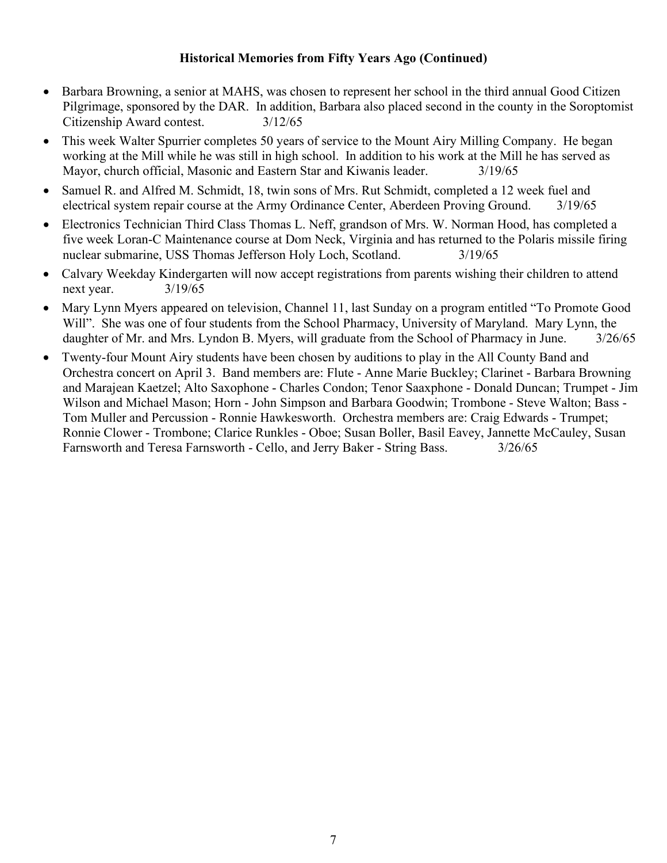#### **Historical Memories from Fifty Years Ago (Continued)**

- Barbara Browning, a senior at MAHS, was chosen to represent her school in the third annual Good Citizen Pilgrimage, sponsored by the DAR. In addition, Barbara also placed second in the county in the Soroptomist Citizenship Award contest. 3/12/65
- This week Walter Spurrier completes 50 years of service to the Mount Airy Milling Company. He began working at the Mill while he was still in high school. In addition to his work at the Mill he has served as Mayor, church official, Masonic and Eastern Star and Kiwanis leader. 3/19/65
- Samuel R. and Alfred M. Schmidt, 18, twin sons of Mrs. Rut Schmidt, completed a 12 week fuel and electrical system repair course at the Army Ordinance Center, Aberdeen Proving Ground. 3/19/65
- Electronics Technician Third Class Thomas L. Neff, grandson of Mrs. W. Norman Hood, has completed a five week Loran-C Maintenance course at Dom Neck, Virginia and has returned to the Polaris missile firing nuclear submarine, USS Thomas Jefferson Holy Loch, Scotland. 3/19/65
- Calvary Weekday Kindergarten will now accept registrations from parents wishing their children to attend next year. 3/19/65
- Mary Lynn Myers appeared on television, Channel 11, last Sunday on a program entitled "To Promote Good Will". She was one of four students from the School Pharmacy, University of Maryland. Mary Lynn, the daughter of Mr. and Mrs. Lyndon B. Myers, will graduate from the School of Pharmacy in June.  $3/26/65$
- Twenty-four Mount Airy students have been chosen by auditions to play in the All County Band and Orchestra concert on April 3. Band members are: Flute - Anne Marie Buckley; Clarinet - Barbara Browning and Marajean Kaetzel; Alto Saxophone - Charles Condon; Tenor Saaxphone - Donald Duncan; Trumpet - Jim Wilson and Michael Mason; Horn - John Simpson and Barbara Goodwin; Trombone - Steve Walton; Bass - Tom Muller and Percussion - Ronnie Hawkesworth. Orchestra members are: Craig Edwards - Trumpet; Ronnie Clower - Trombone; Clarice Runkles - Oboe; Susan Boller, Basil Eavey, Jannette McCauley, Susan Farnsworth and Teresa Farnsworth - Cello, and Jerry Baker - String Bass. 3/26/65